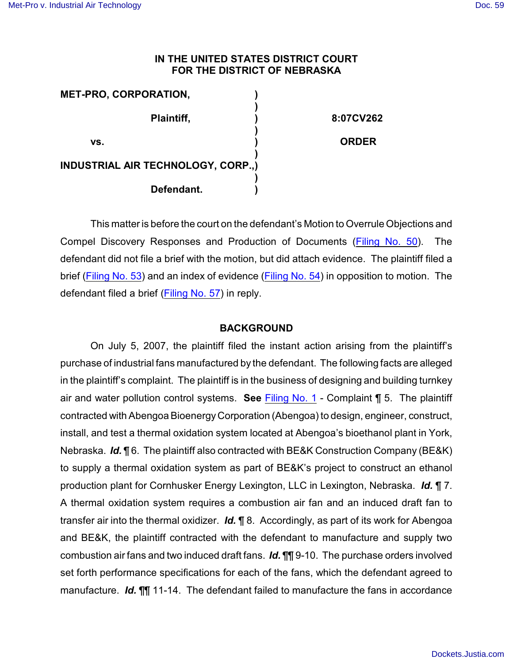## **IN THE UNITED STATES DISTRICT COURT FOR THE DISTRICT OF NEBRASKA**

| <b>MET-PRO, CORPORATION,</b>              |              |
|-------------------------------------------|--------------|
| Plaintiff,                                | 8:07CV262    |
| VS.                                       | <b>ORDER</b> |
| <b>INDUSTRIAL AIR TECHNOLOGY, CORP.,)</b> |              |
| Defendant.                                |              |

This matter is before the court on the defendant's Motion to Overrule Objections and Compel Discovery Responses and Production of Documents [\(Filing No. 50](https://ecf.ned.uscourts.gov/doc1/11311636726)). The defendant did not file a brief with the motion, but did attach evidence. The plaintiff filed a brief [\(Filing No. 53](https://ecf.ned.uscourts.gov/doc1/11301652166)) and an index of evidence [\(Filing No. 54](https://ecf.ned.uscourts.gov/doc1/11311652214)) in opposition to motion. The defendant filed a brief [\(Filing No. 57](https://ecf.ned.uscourts.gov/doc1/11301657036)) in reply.

## **BACKGROUND**

On July 5, 2007, the plaintiff filed the instant action arising from the plaintiff's purchase of industrial fans manufactured by the defendant. The following facts are alleged in the plaintiff's complaint. The plaintiff is in the business of designing and building turnkey air and water pollution control systems. **See** [Filing No. 1](https://ecf.ned.uscourts.gov/doc1/1131612071) - Complaint ¶ 5. The plaintiff contracted with Abengoa Bioenergy Corporation (Abengoa) to design, engineer, construct, install, and test a thermal oxidation system located at Abengoa's bioethanol plant in York, Nebraska. *Id.* ¶ 6. The plaintiff also contracted with BE&K Construction Company (BE&K) to supply a thermal oxidation system as part of BE&K's project to construct an ethanol production plant for Cornhusker Energy Lexington, LLC in Lexington, Nebraska. *Id.* ¶ 7. A thermal oxidation system requires a combustion air fan and an induced draft fan to transfer air into the thermal oxidizer. *Id.* ¶ 8. Accordingly, as part of its work for Abengoa and BE&K, the plaintiff contracted with the defendant to manufacture and supply two combustion air fans and two induced draft fans. *Id.* ¶¶ 9-10. The purchase orders involved set forth performance specifications for each of the fans, which the defendant agreed to manufacture. *Id.* ¶¶ 11-14. The defendant failed to manufacture the fans in accordance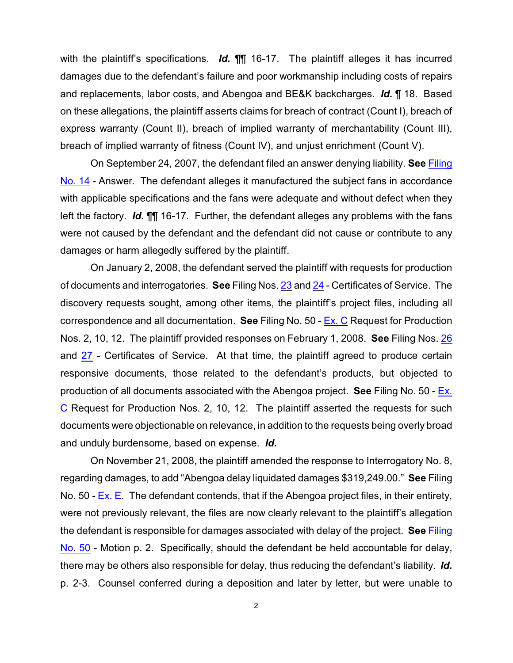with the plaintiff's specifications. *Id.* ¶¶ 16-17. The plaintiff alleges it has incurred damages due to the defendant's failure and poor workmanship including costs of repairs and replacements, labor costs, and Abengoa and BE&K backcharges. *Id.* ¶ 18. Based on these allegations, the plaintiff asserts claims for breach of contract (Count I), breach of express warranty (Count II), breach of implied warranty of merchantability (Count III), breach of implied warranty of fitness (Count IV), and unjust enrichment (Count V).

On September 24, 2007, the defendant filed an answer denying liability. **See** [Filing](https://ecf.ned.uscourts.gov/doc1/11301295731) [No. 14](https://ecf.ned.uscourts.gov/doc1/11301295731) - Answer. The defendant alleges it manufactured the subject fans in accordance with applicable specifications and the fans were adequate and without defect when they left the factory. *Id.* ¶¶ 16-17. Further, the defendant alleges any problems with the fans were not caused by the defendant and the defendant did not cause or contribute to any damages or harm allegedly suffered by the plaintiff.

On January 2, 2008, the defendant served the plaintiff with requests for production of documents and interrogatories. **See** Filing Nos. [23](https://ecf.ned.uscourts.gov/doc1/11301347957) and [24](https://ecf.ned.uscourts.gov/doc1/11301347962) - Certificates of Service. The discovery requests sought, among other items, the plaintiff's project files, including all correspondence and all documentation. **See** Filing No. 50 - [Ex. C](https://ecf.ned.uscourts.gov/doc1/11311636729) Request for Production Nos. 2, 10, 12. The plaintiff provided responses on February 1, 2008. **See** Filing Nos. [26](https://ecf.ned.uscourts.gov/doc1/11301367852) and [27](https://ecf.ned.uscourts.gov/doc1/11301367858) - Certificates of Service. At that time, the plaintiff agreed to produce certain responsive documents, those related to the defendant's products, but objected to production of all documents associated with the Abengoa project. **See** Filing No. 50 - [Ex.](https://ecf.ned.uscourts.gov/doc1/11311636729) [C](https://ecf.ned.uscourts.gov/doc1/11311636729) Request for Production Nos. 2, 10, 12. The plaintiff asserted the requests for such documents were objectionable on relevance, in addition to the requests being overly broad and unduly burdensome, based on expense. *Id.*

On November 21, 2008, the plaintiff amended the response to Interrogatory No. 8, regarding damages, to add "Abengoa delay liquidated damages \$319,249.00." **See** Filing No. 50 - [Ex. E](https://ecf.ned.uscourts.gov/doc1/11311636731). The defendant contends, that if the Abengoa project files, in their entirety, were not previously relevant, the files are now clearly relevant to the plaintiff's allegation the defendant is responsible for damages associated with delay of the project. **See** [Filing](https://ecf.ned.uscourts.gov/doc1/11311636726) [No. 50](https://ecf.ned.uscourts.gov/doc1/11311636726) - Motion p. 2. Specifically, should the defendant be held accountable for delay, there may be others also responsible for delay, thus reducing the defendant's liability. *Id.* p. 2-3. Counsel conferred during a deposition and later by letter, but were unable to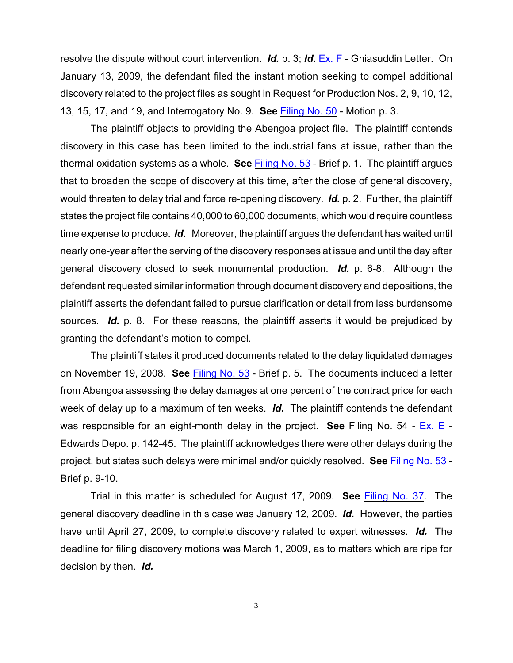resolve the dispute without court intervention. *Id.* p. 3; *Id.* [Ex. F](https://ecf.ned.uscourts.gov/doc1/11311636732) - Ghiasuddin Letter. On January 13, 2009, the defendant filed the instant motion seeking to compel additional discovery related to the project files as sought in Request for Production Nos. 2, 9, 10, 12, 13, 15, 17, and 19, and Interrogatory No. 9. **See** [Filing No. 50](https://ecf.ned.uscourts.gov/doc1/11311636726) - Motion p. 3.

The plaintiff objects to providing the Abengoa project file. The plaintiff contends discovery in this case has been limited to the industrial fans at issue, rather than the thermal oxidation systems as a whole. **See** [Filing No. 53](https://ecf.ned.uscourts.gov/doc1/11301652166) - Brief p. 1. The plaintiff argues that to broaden the scope of discovery at this time, after the close of general discovery, would threaten to delay trial and force re-opening discovery. *Id.* p. 2. Further, the plaintiff states the project file contains 40,000 to 60,000 documents, which would require countless time expense to produce. *Id.* Moreover, the plaintiff argues the defendant has waited until nearly one-year after the serving of the discovery responses at issue and until the day after general discovery closed to seek monumental production. *Id.* p. 6-8. Although the defendant requested similar information through document discovery and depositions, the plaintiff asserts the defendant failed to pursue clarification or detail from less burdensome sources. *Id.* p. 8. For these reasons, the plaintiff asserts it would be prejudiced by granting the defendant's motion to compel.

The plaintiff states it produced documents related to the delay liquidated damages on November 19, 2008. **See** [Filing No. 53](https://ecf.ned.uscourts.gov/doc1/11301652166) - Brief p. 5. The documents included a letter from Abengoa assessing the delay damages at one percent of the contract price for each week of delay up to a maximum of ten weeks. *Id.* The plaintiff contends the defendant was responsible for an eight-month delay in the project. **See** Filing No. 54 - [Ex. E](https://ecf.ned.uscourts.gov/doc1/11311652219) - Edwards Depo. p. 142-45. The plaintiff acknowledges there were other delays during the project, but states such delays were minimal and/or quickly resolved. **See** [Filing No. 53](https://ecf.ned.uscourts.gov/doc1/11301652166) - Brief p. 9-10.

Trial in this matter is scheduled for August 17, 2009. **See** [Filing No. 37](https://ecf.ned.uscourts.gov/doc1/11301586402). The general discovery deadline in this case was January 12, 2009. *Id.* However, the parties have until April 27, 2009, to complete discovery related to expert witnesses. *Id.* The deadline for filing discovery motions was March 1, 2009, as to matters which are ripe for decision by then. *Id.*

3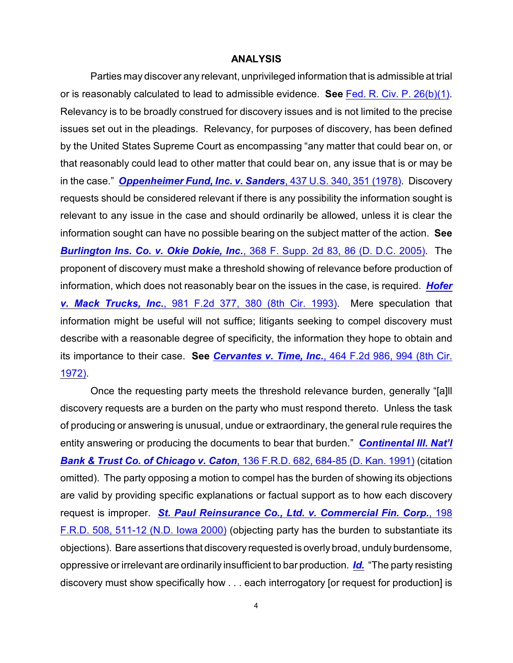## **ANALYSIS**

Parties may discover any relevant, unprivileged information that is admissible at trial or is reasonably calculated to lead to admissible evidence. **See** [Fed. R. Civ. P. 26\(b\)\(1\)](http://www.westlaw.com/find/default.wl?rs=CLWP3.0&vr=2.0&cite=FRCP+26). Relevancy is to be broadly construed for discovery issues and is not limited to the precise issues set out in the pleadings. Relevancy, for purposes of discovery, has been defined by the United States Supreme Court as encompassing "any matter that could bear on, or that reasonably could lead to other matter that could bear on, any issue that is or may be in the case." *[Oppenheimer Fund, Inc. v. Sanders](http://www.westlaw.com/find/default.wl?rs=CLWP3.0&vr=2.0&cite=437+U.S.+340)*, 437 U.S. 340, 351 (1978). Discovery requests should be considered relevant if there is any possibility the information sought is relevant to any issue in the case and should ordinarily be allowed, unless it is clear the information sought can have no possible bearing on the subject matter of the action. **See** *[Burlington Ins. Co. v. Okie Dokie, Inc.](http://www.westlaw.com/find/default.wl?rs=CLWP3.0&vr=2.0&cite=368+F.Supp.2d+83)*, 368 F. Supp. 2d 83, 86 (D. D.C. 2005). The proponent of discovery must make a threshold showing of relevance before production of information, which does not reasonably bear on the issues in the case, is required. *[Hofer](http://www.westlaw.com/find/default.wl?rs=CLWP3.0&vr=2.0&cite=981+F.2d+377) v. Mack Trucks, Inc.*[, 981 F.2d 377, 380 \(8th Cir. 1993\)](http://www.westlaw.com/find/default.wl?rs=CLWP3.0&vr=2.0&cite=981+F.2d+377). Mere speculation that information might be useful will not suffice; litigants seeking to compel discovery must describe with a reasonable degree of specificity, the information they hope to obtain and its importance to their case. **See** *Cervantes v. Time, Inc.*[, 464 F.2d 986, 994 \(8th Cir.](http://www.westlaw.com/find/default.wl?rs=CLWP3.0&vr=2.0&cite=464+F.2d+986) [1972\)](http://www.westlaw.com/find/default.wl?rs=CLWP3.0&vr=2.0&cite=464+F.2d+986).

Once the requesting party meets the threshold relevance burden, generally "[a]ll discovery requests are a burden on the party who must respond thereto. Unless the task of producing or answering is unusual, undue or extraordinary, the general rule requires the entity answering or producing the documents to bear that burden." *[Continental Ill. Nat'l](http://www.westlaw.com/find/default.wl?rs=CLWP3.0&vr=2.0&cite=136+F.R.D.+682) Bank & Trust Co. of Chicago v. Caton*[, 136 F.R.D. 682, 684-85 \(D. Kan. 1991\)](http://www.westlaw.com/find/default.wl?rs=CLWP3.0&vr=2.0&cite=136+F.R.D.+682) (citation omitted). The party opposing a motion to compel has the burden of showing its objections are valid by providing specific explanations or factual support as to how each discovery request is improper. *[St. Paul Reinsurance Co., Ltd. v. Commercial Fin. Corp.](http://www.westlaw.com/find/default.wl?rs=CLWP3.0&vr=2.0&cite=198+F.R.D.+508)*, 198 [F.R.D. 508, 511-12 \(N.D. Iowa 2000\)](http://www.westlaw.com/find/default.wl?rs=CLWP3.0&vr=2.0&cite=198+F.R.D.+508) (objecting party has the burden to substantiate its objections). Bare assertions that discovery requested is overly broad, unduly burdensome, oppressive or irrelevant are ordinarily insufficient to bar production. *[Id.](http://www.westlaw.com/find/default.wl?rs=CLWP3.0&vr=2.0&cite=198+F.R.D.+508)* "The party resisting discovery must show specifically how . . . each interrogatory [or request for production] is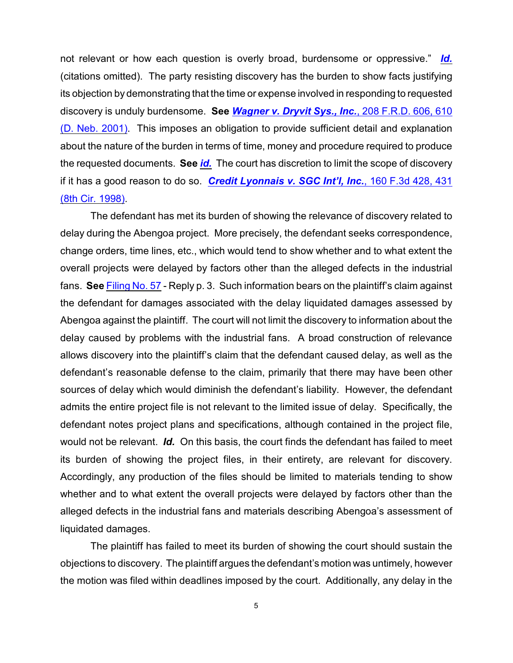not relevant or how each question is overly broad, burdensome or oppressive." *[Id.](http://www.westlaw.com/find/default.wl?rs=CLWP3.0&vr=2.0&cite=198+F.R.D.+508)* (citations omitted). The party resisting discovery has the burden to show facts justifying its objection by demonstrating that the time or expense involved in responding to requested discovery is unduly burdensome. **See** *[Wagner v. Dryvit Sys., Inc.](http://www.westlaw.com/find/default.wl?rs=CLWP3.0&vr=2.0&cite=208+F.R.D.+606)*, 208 F.R.D. 606, 610 [\(D. Neb. 2001\)](http://www.westlaw.com/find/default.wl?rs=CLWP3.0&vr=2.0&cite=208+F.R.D.+606). This imposes an obligation to provide sufficient detail and explanation about the nature of the burden in terms of time, money and procedure required to produce the requested documents. **See** *[id.](http://www.westlaw.com/find/default.wl?rs=CLWP3.0&vr=2.0&cite=208+F.R.D.+606)* The court has discretion to limit the scope of discovery if it has a good reason to do so. *[Credit Lyonnais v. SGC Int'l, Inc.](http://www.westlaw.com/find/default.wl?rs=CLWP3.0&vr=2.0&cite=160+F.3d+428)*, 160 F.3d 428, 431 [\(8th Cir. 1998\)](http://www.westlaw.com/find/default.wl?rs=CLWP3.0&vr=2.0&cite=160+F.3d+428).

The defendant has met its burden of showing the relevance of discovery related to delay during the Abengoa project. More precisely, the defendant seeks correspondence, change orders, time lines, etc., which would tend to show whether and to what extent the overall projects were delayed by factors other than the alleged defects in the industrial fans. **See** [Filing No. 57](https://ecf.ned.uscourts.gov/doc1/11301657036) - Reply p. 3. Such information bears on the plaintiff's claim against the defendant for damages associated with the delay liquidated damages assessed by Abengoa against the plaintiff. The court will not limit the discovery to information about the delay caused by problems with the industrial fans. A broad construction of relevance allows discovery into the plaintiff's claim that the defendant caused delay, as well as the defendant's reasonable defense to the claim, primarily that there may have been other sources of delay which would diminish the defendant's liability. However, the defendant admits the entire project file is not relevant to the limited issue of delay. Specifically, the defendant notes project plans and specifications, although contained in the project file, would not be relevant. *Id.* On this basis, the court finds the defendant has failed to meet its burden of showing the project files, in their entirety, are relevant for discovery. Accordingly, any production of the files should be limited to materials tending to show whether and to what extent the overall projects were delayed by factors other than the alleged defects in the industrial fans and materials describing Abengoa's assessment of liquidated damages.

The plaintiff has failed to meet its burden of showing the court should sustain the objections to discovery. The plaintiff argues the defendant's motion was untimely, however the motion was filed within deadlines imposed by the court. Additionally, any delay in the